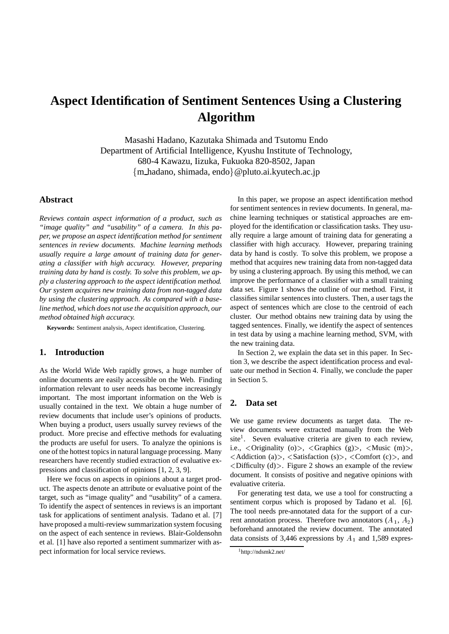# **Aspect Identification of Sentiment Sentences Using a Clustering Algorithm**

Masashi Hadano, Kazutaka Shimada and Tsutomu Endo Department of Artificial Intelligence, Kyushu Institute of Technology, 680-4 Kawazu, Iizuka, Fukuoka 820-8502, Japan m hadano, shimada, endo-@pluto.ai.kyutech.ac.jp

#### **Abstract**

*Reviews contain aspect information of a product, such as "image quality" and "usability" of a camera. In this paper, we propose an aspect identification method for sentiment sentences in review documents. Machine learning methods usually require a large amount of training data for generating a classifier with high accuracy. However, preparing training data by hand is costly. To solve this problem, we apply a clustering approach to the aspect identification method. Our system acquires new training data from non-tagged data by using the clustering approach. As compared with a baseline method, which does not use the acquisition approach, our method obtained high accuracy.*

**Keywords:** Sentiment analysis, Aspect identification, Clustering.

## **1. Introduction**

As the World Wide Web rapidly grows, a huge number of online documents are easily accessible on the Web. Finding information relevant to user needs has become increasingly important. The most important information on the Web is usually contained in the text. We obtain a huge number of review documents that include user's opinions of products. When buying a product, users usually survey reviews of the product. More precise and effective methods for evaluating the products are useful for users. To analyze the opinions is one of the hottest topics in natural language processing. Many researchers have recently studied extraction of evaluative expressions and classification of opinions [1, 2, 3, 9].

Here we focus on aspects in opinions about a target product. The aspects denote an attribute or evaluative point of the target, such as "image quality" and "usability" of a camera. To identify the aspect of sentences in reviews is an important task for applications of sentiment analysis. Tadano et al. [7] have proposed a multi-review summarization system focusing on the aspect of each sentence in reviews. Blair-Goldensohn et al. [1] have also reported a sentiment summarizer with aspect information for local service reviews.

In this paper, we propose an aspect identification method for sentiment sentences in review documents. In general, machine learning techniques or statistical approaches are employed for the identification or classification tasks. They usually require a large amount of training data for generating a classifier with high accuracy. However, preparing training data by hand is costly. To solve this problem, we propose a method that acquires new training data from non-tagged data by using a clustering approach. By using this method, we can improve the performance of a classifier with a small training data set. Figure 1 shows the outline of our method. First, it classifies similar sentences into clusters. Then, a user tags the aspect of sentences which are close to the centroid of each cluster. Our method obtains new training data by using the tagged sentences. Finally, we identify the aspect of sentences in test data by using a machine learning method, SVM, with the new training data.

In Section 2, we explain the data set in this paper. In Section 3, we describe the aspect identification process and evaluate our method in Section 4. Finally, we conclude the paper in Section 5.

## **2. Data set**

We use game review documents as target data. The review documents were extracted manually from the Web site<sup>1</sup>. Seven evaluative criteria are given to each review, i.e., <Originality (o)>, <Graphics (g)>, <Music (m)>,  $\triangle$ Addiction (a)>,  $\triangle$ Satisfaction (s)>,  $\triangle$ Comfort (c)>, and  $\langle$ Difficulty (d) >. Figure 2 shows an example of the review document. It consists of positive and negative opinions with evaluative criteria.

For generating test data, we use a tool for constructing a sentiment corpus which is proposed by Tadano et al. [6]. The tool needs pre-annotated data for the support of a current annotation process. Therefore two annotators  $(A_1, A_2)$ beforehand annotated the review document. The annotated data consists of 3,446 expressions by  $A_1$  and 1,589 expres-

 $1$ http://ndsmk2.net/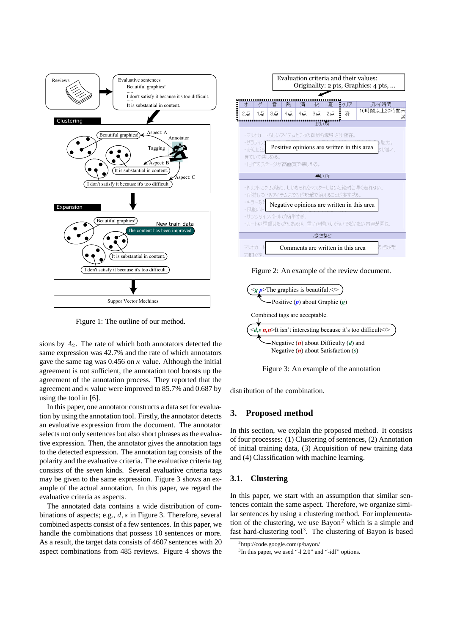

Figure 1: The outline of our method.

sions by  $A_2$ . The rate of which both annotators detected the same expression was 42.7% and the rate of which annotators gave the same tag was 0.456 on  $\kappa$  value. Although the initial agreement is not sufficient, the annotation tool boosts up the agreement of the annotation process. They reported that the agreement and  $\kappa$  value were improved to 85.7% and 0.687 by using the tool in [6].

In this paper, one annotator constructs a data set for evaluation by using the annotation tool. Firstly, the annotator detects an evaluative expression from the document. The annotator selects not only sentences but also short phrases as the evaluative expression. Then, the annotator gives the annotation tags to the detected expression. The annotation tag consists of the polarity and the evaluative criteria. The evaluative criteria tag consists of the seven kinds. Several evaluative criteria tags may be given to the same expression. Figure 3 shows an example of the actual annotation. In this paper, we regard the evaluative criteria as aspects.

The annotated data contains a wide distribution of combinations of aspects; e.g.,  $d$ ,  $s$  in Figure 3. Therefore, several combined aspects consist of a few sentences. In this paper, we handle the combinations that possess 10 sentences or more. As a result, the target data consists of 4607 sentences with 20 aspect combinations from 485 reviews. Figure 4 shows the









distribution of the combination.

#### **3. Proposed method**

In this section, we explain the proposed method. It consists of four processes: (1) Clustering of sentences, (2) Annotation of initial training data, (3) Acquisition of new training data and (4) Classification with machine learning.

#### **3.1. Clustering**

In this paper, we start with an assumption that similar sentences contain the same aspect. Therefore, we organize similar sentences by using a clustering method. For implementation of the clustering, we use  $Bayon<sup>2</sup>$  which is a simple and fast hard-clustering tool<sup>3</sup>. The clustering of Bayon is based

<sup>2</sup>http://code.google.com/p/bayon/

 $3$ In this paper, we used "-1 2.0" and "-idf" options.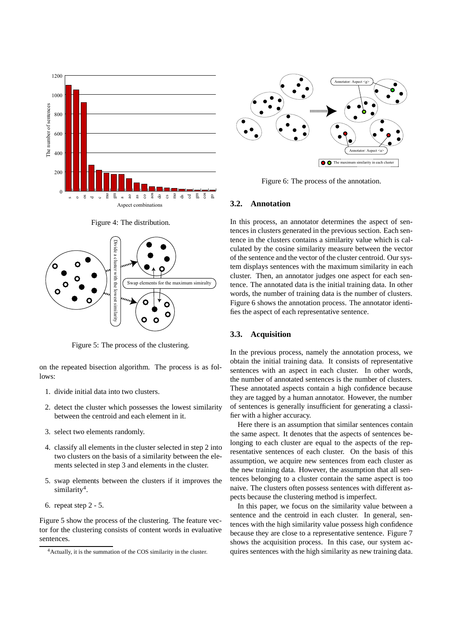

Figure 4: The distribution.



Figure 5: The process of the clustering.

on the repeated bisection algorithm. The process is as follows:

- 1. divide initial data into two clusters.
- 2. detect the cluster which possesses the lowest similarity between the centroid and each element in it.
- 3. select two elements randomly.
- 4. classify all elements in the cluster selected in step 2 into two clusters on the basis of a similarity between the elements selected in step 3 and elements in the cluster.
- 5. swap elements between the clusters if it improves the similarity<sup>4</sup>.
- 6. repeat step 2 5.

Figure 5 show the process of the clustering. The feature vector for the clustering consists of content words in evaluative sentences.



Figure 6: The process of the annotation.

#### **3.2. Annotation**

In this process, an annotator determines the aspect of sentences in clusters generated in the previous section. Each sentence in the clusters contains a similarity value which is calculated by the cosine similarity measure between the vector of the sentence and the vector of the cluster centroid. Our system displays sentences with the maximum similarity in each cluster. Then, an annotator judges one aspect for each sentence. The annotated data is the initial training data. In other words, the number of training data is the number of clusters. Figure 6 shows the annotation process. The annotator identifies the aspect of each representative sentence.

#### **3.3. Acquisition**

In the previous process, namely the annotation process, we obtain the initial training data. It consists of representative sentences with an aspect in each cluster. In other words, the number of annotated sentences is the number of clusters. These annotated aspects contain a high confidence because they are tagged by a human annotator. However, the number of sentences is generally insufficient for generating a classifier with a higher accuracy.

Here there is an assumption that similar sentences contain the same aspect. It denotes that the aspects of sentences belonging to each cluster are equal to the aspects of the representative sentences of each cluster. On the basis of this assumption, we acquire new sentences from each cluster as the new training data. However, the assumption that all sentences belonging to a cluster contain the same aspect is too naive. The clusters often possess sentences with different aspects because the clustering method is imperfect.

In this paper, we focus on the similarity value between a sentence and the centroid in each cluster. In general, sentences with the high similarity value possess high confidence because they are close to a representative sentence. Figure 7 shows the acquisition process. In this case, our system acquires sentences with the high similarity as new training data.

<sup>4</sup>Actually, it is the summation of the COS similarity in the cluster.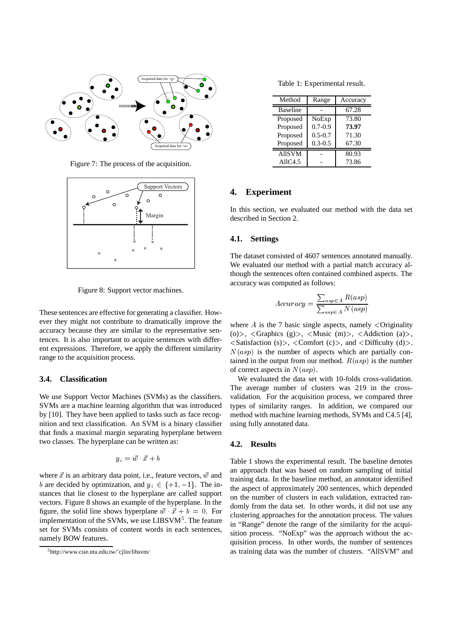

Figure 7: The process of the acquisition.



Figure 8: Support vector machines.

These sentences are effective for generating a classifier. However they might not contribute to dramatically improve the accuracy because they are similar to the representative sentences. It is also important to acquire sentences with different expressions. Therefore, we apply the different similarity range to the acquisition process.

#### **3.4. Classification**

We use Support Vector Machines (SVMs) as the classifiers. SVMs are a machine learning algorithm that was introduced by [10]. They have been applied to tasks such as face recognition and text classification. An SVM is a binary classifier that finds a maximal margin separating hyperplane between two classes. The hyperplane can be written as:

$$
y_i = \vec{w} \cdot \vec{x} + b
$$

where  $\vec{x}$  is an arbitrary data point, i.e., feature vectors,  $\vec{w}$  and  $\begin{bmatrix} \n\mathbf{r} \n\end{bmatrix}$ b are decided by optimization, and  $y_i \in \{+1, -1\}$ . The instances that lie closest to the hyperplane are called support vectors. Figure 8 shows an example of the hyperplane. In the figure, the solid line shows hyperplane  $\vec{w} \cdot \vec{x} + b = 0$ . For  $\frac{\vec{w} \cdot \vec{x}}{\text{obs}}$ implementation of the SVMs, we use  $LIBSVM<sup>5</sup>$ . The feature set for SVMs consists of content words in each sentences, namely BOW features.

Table 1: Experimental result.

| Method          | Range       | Accuracy |
|-----------------|-------------|----------|
| <b>Baseline</b> |             | 67.28    |
| Proposed        | NoExp       | 73.80    |
| Proposed        | $0.7 - 0.9$ | 73.97    |
| Proposed        | $0.5 - 0.7$ | 71.30    |
| Proposed        | $0.3 - 0.5$ | 67.30    |
| AllSVM          |             | 80.93    |
| AIIC4.5         |             | 73.86    |

#### **4. Experiment**

In this section, we evaluated our method with the data set described in Section 2.

# **4.1. Settings**

The dataset consisted of 4607 sentences annotated manually. We evaluated our method with a partial match accuracy although the sentences often contained combined aspects. The accuracy was computed as follows:

$$
Accuracy = \frac{\sum_{asp \in A} R(asp)}{\sum_{asp \in A} N(asp)}
$$

where  $\Lambda$  is the 7 basic single aspects, namely  $\langle$ Originality (o) >, <Graphics (g) >, <Music (m) >, <Addiction (a) >,  $\leq$  Satisfaction (s)>,  $\leq$  Comfort (c)>, and  $\leq$  Difficulty (d)>.  $N(asp)$  is the number of aspects which are partially contained in the output from our method.  $R(as p)$  is the number of correct aspects in  $N(asp)$ .

We evaluated the data set with 10-folds cross-validation. The average number of clusters was 219 in the crossvalidation. For the acquisition process, we compared three types of similarity ranges. In addition, we compared our method with machine learning methods, SVMs and C4.5 [4], using fully annotated data.

### **4.2. Results**

Table 1 shows the experimental result. The baseline denotes an approach that was based on random sampling of initial training data. In the baseline method, an annotator identified the aspect of approximately 200 sentences, which depended on the number of clusters in each validation, extracted randomly from the data set. In other words, it did not use any clustering approaches for the annotation process. The values in "Range" denote the range of the similarity for the acquisition process. "NoExp" was the approach without the acquisition process. In other words, the number of sentences as training data was the number of clusters. "AllSVM" and

<sup>5</sup>http://www.csie.ntu.edu.tw/˜cjlin/libsvm/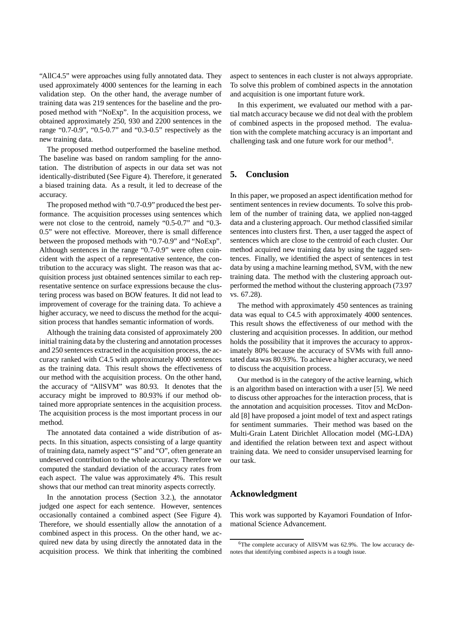"AllC4.5" were approaches using fully annotated data. They used approximately 4000 sentences for the learning in each validation step. On the other hand, the average number of training data was 219 sentences for the baseline and the proposed method with "NoExp". In the acquisition process, we obtained approximately 250, 930 and 2200 sentences in the range "0.7-0.9", "0.5-0.7" and "0.3-0.5" respectively as the new training data.

The proposed method outperformed the baseline method. The baseline was based on random sampling for the annotation. The distribution of aspects in our data set was not identically-distributed (See Figure 4). Therefore, it generated a biased training data. As a result, it led to decrease of the accuracy.

The proposed method with "0.7-0.9" produced the best performance. The acquisition processes using sentences which were not close to the centroid, namely "0.5-0.7" and "0.3- 0.5" were not effective. Moreover, there is small difference between the proposed methods with "0.7-0.9" and "NoExp". Although sentences in the range "0.7-0.9" were often coincident with the aspect of a representative sentence, the contribution to the accuracy was slight. The reason was that acquisition process just obtained sentences similar to each representative sentence on surface expressions because the clustering process was based on BOW features. It did not lead to improvement of coverage for the training data. To achieve a higher accuracy, we need to discuss the method for the acquisition process that handles semantic information of words.

Although the training data consisted of approximately 200 initial training data by the clustering and annotation processes and 250 sentences extracted in the acquisition process, the accuracy ranked with C4.5 with approximately 4000 sentences as the training data. This result shows the effectiveness of our method with the acquisition process. On the other hand, the accuracy of "AllSVM" was 80.93. It denotes that the accuracy might be improved to 80.93% if our method obtained more appropriate sentences in the acquisition process. The acquisition process is the most important process in our method.

The annotated data contained a wide distribution of aspects. In this situation, aspects consisting of a large quantity of training data, namely aspect "S" and "O", often generate an undeserved contribution to the whole accuracy. Therefore we computed the standard deviation of the accuracy rates from each aspect. The value was approximately 4%. This result shows that our method can treat minority aspects correctly.

In the annotation process (Section 3.2.), the annotator judged one aspect for each sentence. However, sentences occasionally contained a combined aspect (See Figure 4). Therefore, we should essentially allow the annotation of a combined aspect in this process. On the other hand, we acquired new data by using directly the annotated data in the acquisition process. We think that inheriting the combined aspect to sentences in each cluster is not always appropriate. To solve this problem of combined aspects in the annotation and acquisition is one important future work.

In this experiment, we evaluated our method with a partial match accuracy because we did not deal with the problem of combined aspects in the proposed method. The evaluation with the complete matching accuracy is an important and challenging task and one future work for our method<sup>6</sup>.

# **5. Conclusion**

In this paper, we proposed an aspect identification method for sentiment sentences in review documents. To solve this problem of the number of training data, we applied non-tagged data and a clustering approach. Our method classified similar sentences into clusters first. Then, a user tagged the aspect of sentences which are close to the centroid of each cluster. Our method acquired new training data by using the tagged sentences. Finally, we identified the aspect of sentences in test data by using a machine learning method, SVM, with the new training data. The method with the clustering approach outperformed the method without the clustering approach (73.97 vs. 67.28).

The method with approximately 450 sentences as training data was equal to C4.5 with approximately 4000 sentences. This result shows the effectiveness of our method with the clustering and acquisition processes. In addition, our method holds the possibility that it improves the accuracy to approximately 80% because the accuracy of SVMs with full annotated data was 80.93%. To achieve a higher accuracy, we need to discuss the acquisition process.

Our method is in the category of the active learning, which is an algorithm based on interaction with a user [5]. We need to discuss other approaches for the interaction process, that is the annotation and acquisition processes. Titov and McDonald [8] have proposed a joint model of text and aspect ratings for sentiment summaries. Their method was based on the Multi-Grain Latent Dirichlet Allocation model (MG-LDA) and identified the relation between text and aspect without training data. We need to consider unsupervised learning for our task.

## **Acknowledgment**

This work was supported by Kayamori Foundation of Informational Science Advancement.

<sup>&</sup>lt;sup>6</sup>The complete accuracy of AllSVM was 62.9%. The low accuracy denotes that identifying combined aspects is a tough issue.